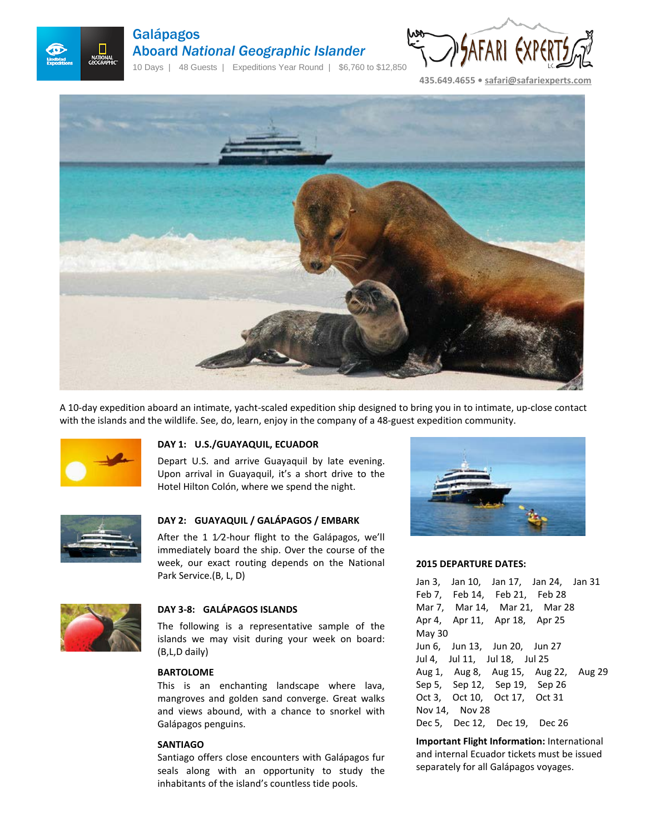

# Galápagos Aboard *National Geographic Islander*

10 Days | 48 Guests | Expeditions Year Round | \$6,760 to \$12,850



**435.649.4655 • [safari@safariexperts.com](mailto:safari@safariexperts.com)**



A 10-day expedition aboard an intimate, yacht-scaled expedition ship designed to bring you in to intimate, up-close contact with the islands and the wildlife. See, do, learn, enjoy in the company of a 48-guest expedition community.



## **DAY 1: U.S./GUAYAQUIL, ECUADOR**

Depart U.S. and arrive Guayaquil by late evening. Upon arrival in Guayaquil, it's a short drive to the Hotel Hilton Colón, where we spend the night.



# **DAY 2: GUAYAQUIL / GALÁPAGOS / EMBARK**

After the 1  $1/2$ -hour flight to the Galápagos, we'll immediately board the ship. Over the course of the week, our exact routing depends on the National Park Service.(B, L, D)



# **DAY 3-8: GALÁPAGOS ISLANDS**

The following is a representative sample of the islands we may visit during your week on board: (B,L,D daily)

## **BARTOLOME**

This is an enchanting landscape where lava, mangroves and golden sand converge. Great walks and views abound, with a chance to snorkel with Galápagos penguins.

## **SANTIAGO**

Santiago offers close encounters with Galápagos fur seals along with an opportunity to study the inhabitants of the island's countless tide pools.



#### **2015 DEPARTURE DATES:**

Jan 3, Jan 10, Jan 17, Jan 24, Jan 31 Feb 7, Feb 14, Feb 21, Feb 28 Mar 7, Mar 14, Mar 21, Mar 28 Apr 4, Apr 11, Apr 18, Apr 25 May 30 Jun 6, Jun 13, Jun 20, Jun 27 Jul 4, Jul 11, Jul 18, Jul 25 Aug 1, Aug 8, Aug 15, Aug 22, Aug 29 Sep 5, Sep 12, Sep 19, Sep 26 Oct 3, Oct 10, Oct 17, Oct 31 Nov 14, Nov 28 Dec 5, Dec 12, Dec 19, Dec 26

**Important Flight Information:** International and internal Ecuador tickets must be issued separately for all Galápagos voyages.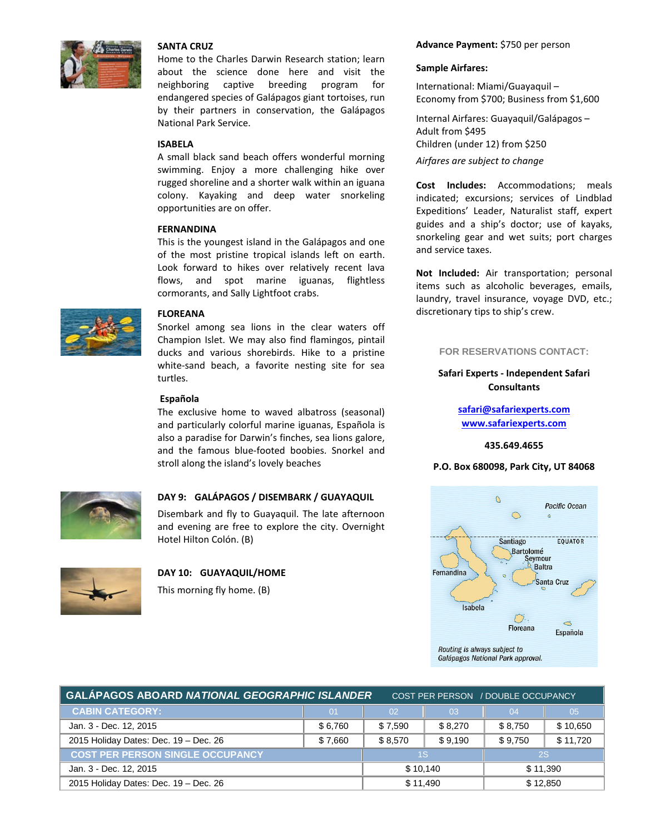

## **SANTA CRUZ**

Home to the Charles Darwin Research station; learn about the science done here and visit the neighboring captive breeding program for endangered species of Galápagos giant tortoises, run by their partners in conservation, the Galápagos National Park Service.

## **ISABELA**

A small black sand beach offers wonderful morning swimming. Enjoy a more challenging hike over rugged shoreline and a shorter walk within an iguana colony. Kayaking and deep water snorkeling opportunities are on offer.

## **FERNANDINA**

This is the youngest island in the Galápagos and one of the most pristine tropical islands left on earth. Look forward to hikes over relatively recent lava flows, and spot marine iguanas, flightless cormorants, and Sally Lightfoot crabs.



## **FLOREANA**

Snorkel among sea lions in the clear waters off Champion Islet. We may also find flamingos, pintail ducks and various shorebirds. Hike to a pristine white-sand beach, a favorite nesting site for sea turtles.

#### **Española**

The exclusive home to waved albatross (seasonal) and particularly colorful marine iguanas, Española is also a paradise for Darwin's finches, sea lions galore, and the famous blue-footed boobies. Snorkel and stroll along the island's lovely beaches



# **DAY 9: GALÁPAGOS / DISEMBARK / GUAYAQUIL**

Disembark and fly to Guayaquil. The late afternoon and evening are free to explore the city. Overnight Hotel Hilton Colón. (B)



# **DAY 10: GUAYAQUIL/HOME**

This morning fly home. (B)

## **Advance Payment:** \$750 per person

## **Sample Airfares:**

International: Miami/Guayaquil – Economy from \$700; Business from \$1,600

Internal Airfares: Guayaquil/Galápagos – Adult from \$495 Children (under 12) from \$250

*Airfares are subject to change*

**Cost Includes:** Accommodations; meals indicated; excursions; services of Lindblad Expeditions' Leader, Naturalist staff, expert guides and a ship's doctor; use of kayaks, snorkeling gear and wet suits; port charges and service taxes.

**Not Included:** Air transportation; personal items such as alcoholic beverages, emails, laundry, travel insurance, voyage DVD, etc.; discretionary tips to ship's crew.

## **FOR RESERVATIONS CONTACT:**

# **Safari Experts - Independent Safari Consultants**

**[safari@safariexperts.com](mailto:safari@safariexperts.com)  [www.safariexperts.com](http://www.safariexperts.com/)**

**435.649.4655**

## **P.O. Box 680098, Park City, UT 84068**



| <b>GALAPAGOS ABOARD NATIONAL GEOGRAPHIC ISLANDER</b> |                | COST PER PERSON / DOUBLE OCCUPANCY |         |           |          |
|------------------------------------------------------|----------------|------------------------------------|---------|-----------|----------|
| <b>CABIN CATEGORY:</b>                               | 0 <sub>1</sub> | 02                                 | 03      | 04        | 05       |
| Jan. 3 - Dec. 12, 2015                               | \$6.760        | \$7.590                            | \$8.270 | \$8.750   | \$10,650 |
| 2015 Holiday Dates: Dec. 19 - Dec. 26                | \$7,660        | \$8.570                            | \$9.190 | \$9.750   | \$11.720 |
| <b>COST PER PERSON SINGLE OCCUPANCY</b>              |                | 1S                                 |         | <b>2S</b> |          |
| Jan. 3 - Dec. 12, 2015                               |                | \$10,140                           |         | \$11,390  |          |
| 2015 Holiday Dates: Dec. 19 - Dec. 26                |                | \$11,490                           |         | \$12,850  |          |